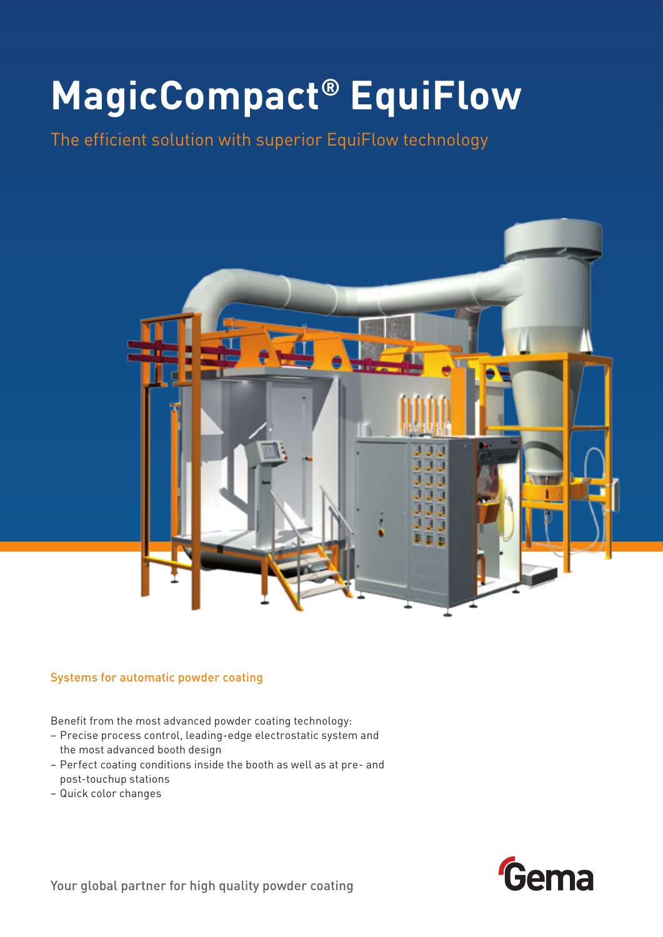# **MagicCompact® EquiFlow**

The efficient solution with superior EquiFlow technology



#### Systems for automatic powder coating

Benefit from the most advanced powder coating technology:

- Precise process control, leading-edge electrostatic system and the most advanced booth design
- Perfect coating conditions inside the booth as well as at pre- and post-touchup stations
- Quick color changes

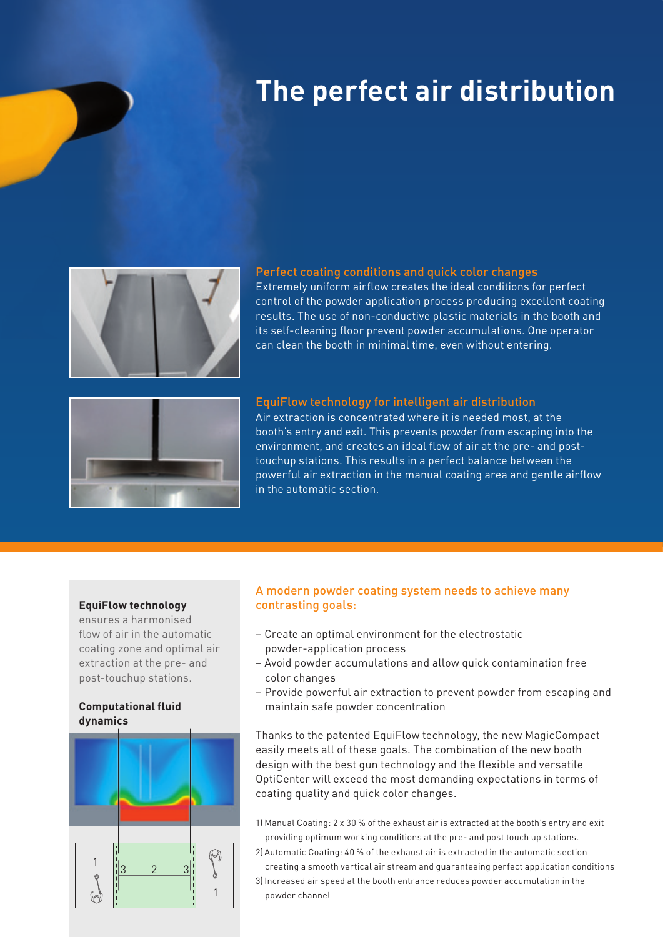### **The perfect air distribution**



#### Perfect coating conditions and quick color changes

Extremely uniform airflow creates the ideal conditions for perfect control of the powder application process producing excellent coating results. The use of non-conductive plastic materials in the booth and its self-cleaning floor prevent powder accumulations. One operator can clean the booth in minimal time, even without entering.



#### EquiFlow technology for intelligent air distribution

Air extraction is concentrated where it is needed most, at the booth's entry and exit. This prevents powder from escaping into the environment, and creates an ideal flow of air at the pre- and posttouchup stations. This results in a perfect balance between the powerful air extraction in the manual coating area and gentle airflow in the automatic section.

#### **EquiFlow technology**

ensures a harmonised flow of air in the automatic coating zone and optimal air extraction at the pre- and post-touchup stations.

#### **Computational fluid dynamics**



#### A modern powder coating system needs to achieve many contrasting goals:

- Create an optimal environment for the electrostatic powder-application process
- Avoid powder accumulations and allow quick contamination free color changes
- Provide powerful air extraction to prevent powder from escaping and maintain safe powder concentration

Thanks to the patented EquiFlow technology, the new MagicCompact easily meets all of these goals. The combination of the new booth design with the best gun technology and the flexible and versatile OptiCenter will exceed the most demanding expectations in terms of coating quality and quick color changes.

- 1) Manual Coating: 2 x 30 % of the exhaust air is extracted at the booth's entry and exit providing optimum working conditions at the pre- and post touch up stations.
- 2) Automatic Coating: 40 % of the exhaust air is extracted in the automatic section creating a smooth vertical air stream and guaranteeing perfect application conditions
- 3) Increased air speed at the booth entrance reduces powder accumulation in the powder channel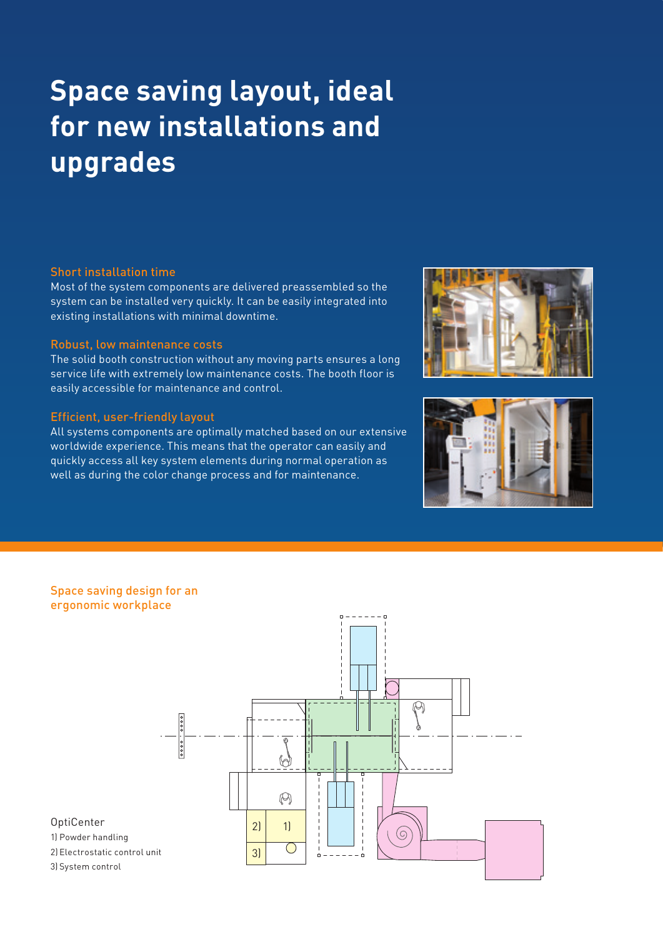## **Space saving layout, ideal for new installations and upgrades**

#### Short installation time

Most of the system components are delivered preassembled so the system can be installed very quickly. It can be easily integrated into existing installations with minimal downtime.

#### Robust, low maintenance costs

The solid booth construction without any moving parts ensures a long service life with extremely low maintenance costs. The booth floor is easily accessible for maintenance and control.

#### Efficient, user-friendly layout

All systems components are optimally matched based on our extensive worldwide experience. This means that the operator can easily and quickly access all key system elements during normal operation as well as during the color change process and for maintenance.





#### Space saving design for an ergonomic workplace



#### OptiCenter

1) Powder handling 2) Electrostatic control unit

3) System control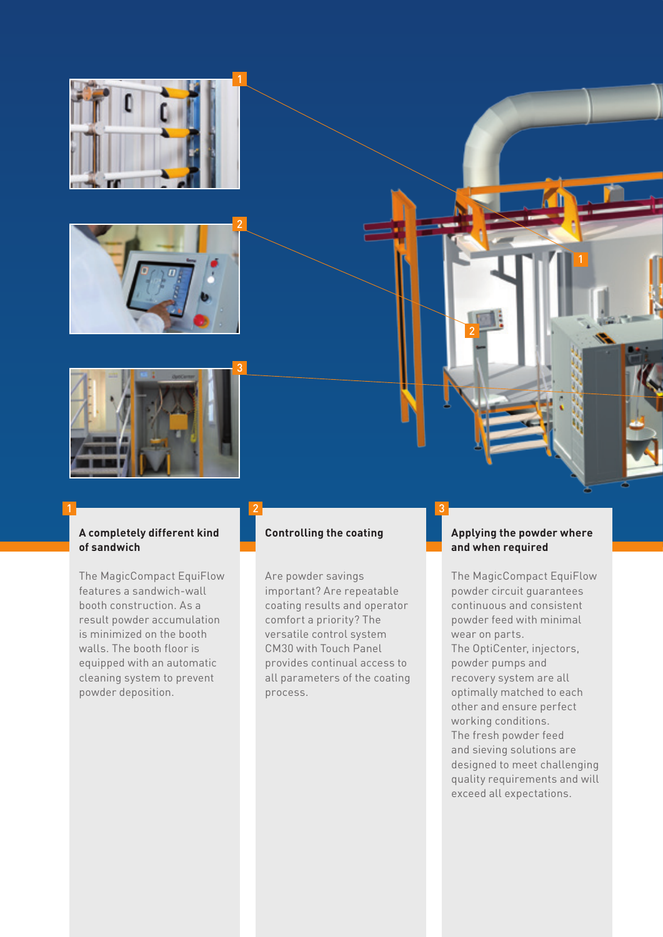





#### **A completely different kind of sandwich**

The MagicCompact EquiFlow features a sandwich-wall booth construction. As a result powder accumulation is minimized on the booth walls. The booth floor is equipped with an automatic cleaning system to prevent powder deposition.

#### **Controlling the coating**

1 2 3

Are powder savings important? Are repeatable coating results and operator comfort a priority? The versatile control system CM30 with Touch Panel provides continual access to all parameters of the coating process.

#### **Applying the powder where and when required**

2

The MagicCompact EquiFlow powder circuit guarantees continuous and consistent powder feed with minimal wear on parts.

The OptiCenter, injectors, powder pumps and recovery system are all optimally matched to each other and ensure perfect working conditions. The fresh powder feed and sieving solutions are designed to meet challenging quality requirements and will exceed all expectations.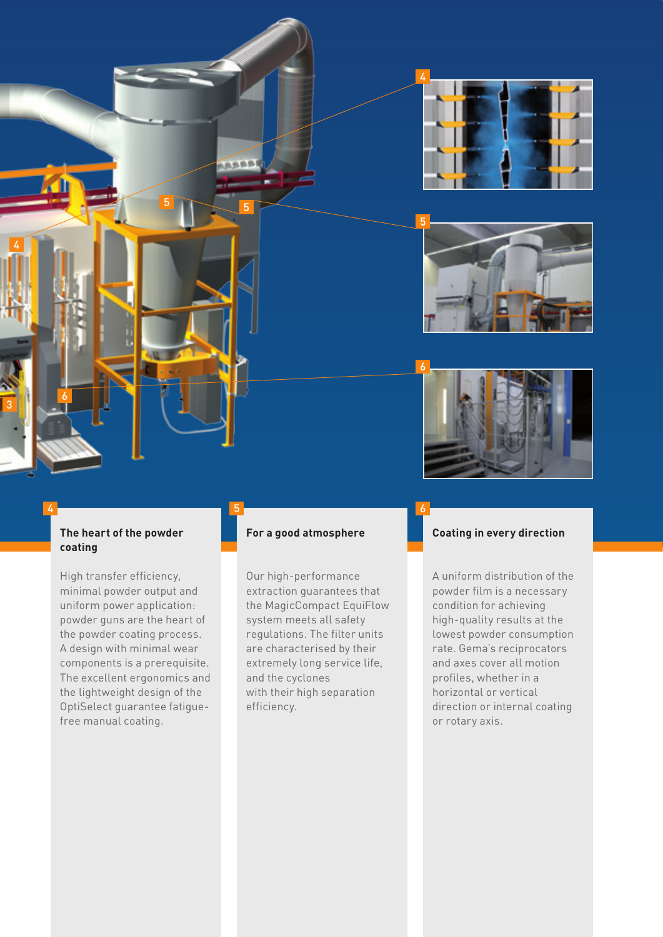





#### **The heart of the powder coating**

 $5$  5

 $-0.05$ 

4

3

6

High transfer efficiency, minimal powder output and uniform power application: powder guns are the heart of the powder coating process. A design with minimal wear components is a prerequisite. The excellent ergonomics and the lightweight design of the OptiSelect guarantee fatiguefree manual coating.

#### **For a good atmosphere**

4 5 6

Our high-performance extraction guarantees that the MagicCompact EquiFlow system meets all safety regulations. The filter units are characterised by their extremely long service life, and the cyclones with their high separation efficiency.

#### **Coating in every direction**

A uniform distribution of the powder film is a necessary condition for achieving high-quality results at the lowest powder consumption rate. Gema's reciprocators and axes cover all motion profiles, whether in a horizontal or vertical direction or internal coating or rotary axis.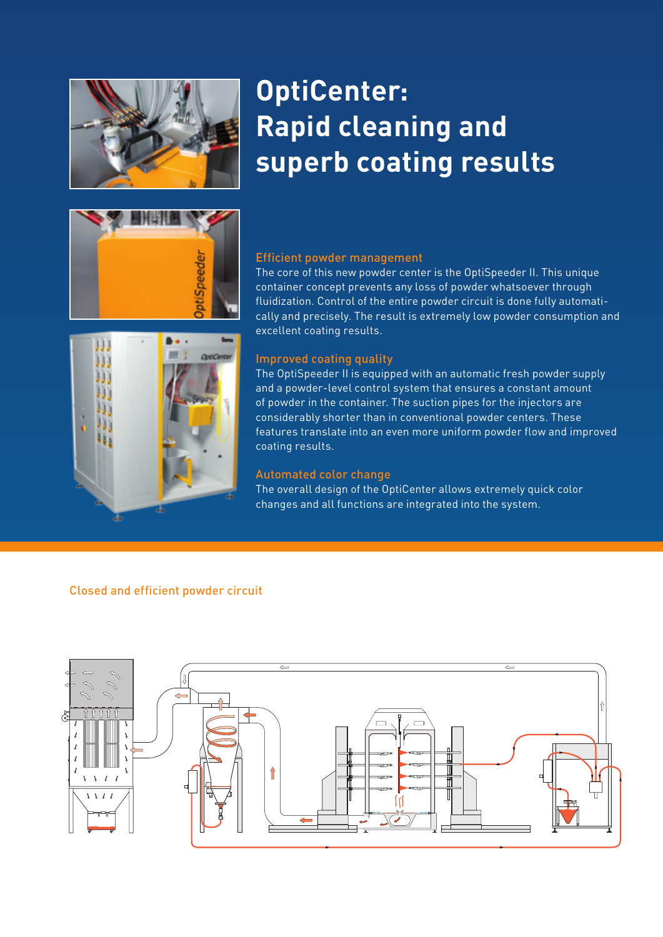

### **OptiCenter: Rapid cleaning and superb coating results**



#### Efficient powder management

The core of this new powder center is the OptiSpeeder II. This unique container concept prevents any loss of powder whatsoever through fluidization. Control of the entire powder circuit is done fully automatically and precisely. The result is extremely low powder consumption and excellent coating results.



#### Improved coating quality

The OptiSpeeder II is equipped with an automatic fresh powder supply and a powder-level control system that ensures a constant amount of powder in the container. The suction pipes for the injectors are considerably shorter than in conventional powder centers. These features translate into an even more uniform powder flow and improved coating results.

#### Automated color change

The overall design of the OptiCenter allows extremely quick color changes and all functions are integrated into the system.

#### Closed and efficient powder circuit

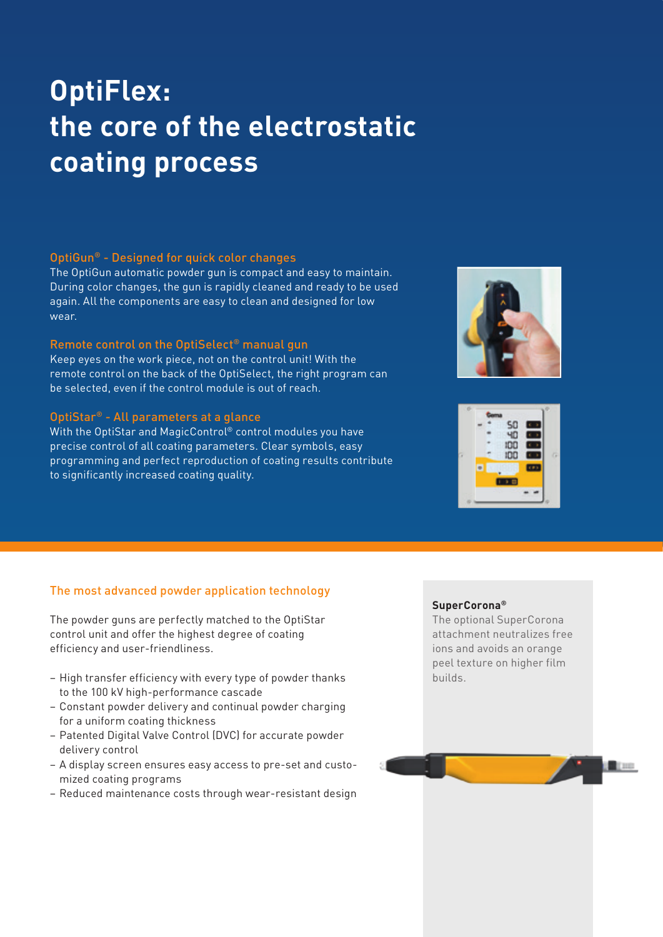## **OptiFlex: the core of the electrostatic coating process**

#### OptiGun® - Designed for quick color changes

The OptiGun automatic powder gun is compact and easy to maintain. During color changes, the gun is rapidly cleaned and ready to be used again. All the components are easy to clean and designed for low wear.

#### Remote control on the OptiSelect® manual gun

Keep eyes on the work piece, not on the control unit! With the remote control on the back of the OptiSelect, the right program can be selected, even if the control module is out of reach.

#### OptiStar® - All parameters at a glance

With the OptiStar and MagicControl® control modules you have precise control of all coating parameters. Clear symbols, easy programming and perfect reproduction of coating results contribute to significantly increased coating quality.





#### The most advanced powder application technology

The powder guns are perfectly matched to the OptiStar control unit and offer the highest degree of coating efficiency and user-friendliness.

- High transfer efficiency with every type of powder thanks to the 100 kV high-performance cascade
- Constant powder delivery and continual powder charging for a uniform coating thickness
- Patented Digital Valve Control (DVC) for accurate powder delivery control
- A display screen ensures easy access to pre-set and customized coating programs
- Reduced maintenance costs through wear-resistant design

#### **SuperCorona®**

The optional SuperCorona attachment neutralizes free ions and avoids an orange peel texture on higher film builds.